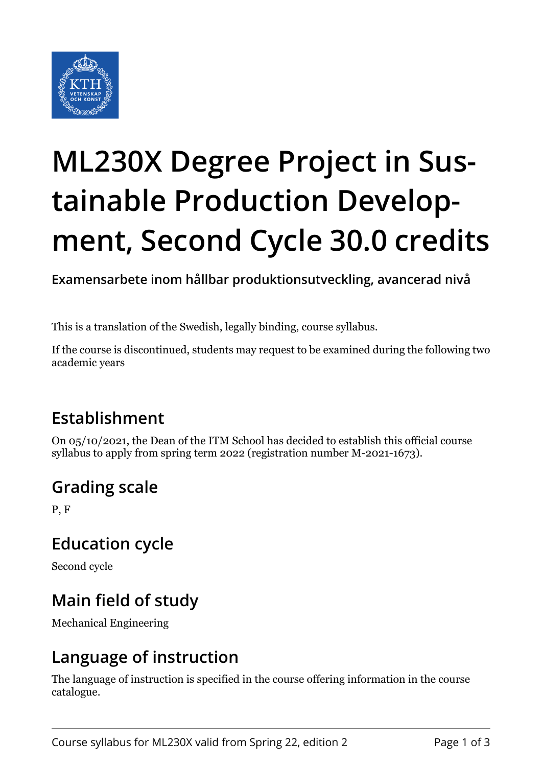

# **ML230X Degree Project in Sustainable Production Development, Second Cycle 30.0 credits**

**Examensarbete inom hållbar produktionsutveckling, avancerad nivå**

This is a translation of the Swedish, legally binding, course syllabus.

If the course is discontinued, students may request to be examined during the following two academic years

## **Establishment**

On 05/10/2021, the Dean of the ITM School has decided to establish this official course syllabus to apply from spring term 2022 (registration number M-2021-1673).

#### **Grading scale**

P, F

#### **Education cycle**

Second cycle

## **Main field of study**

Mechanical Engineering

## **Language of instruction**

The language of instruction is specified in the course offering information in the course catalogue.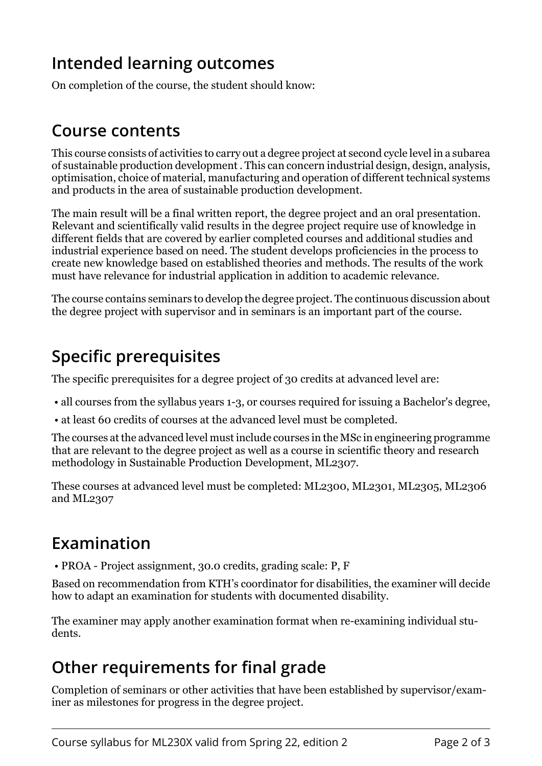### **Intended learning outcomes**

On completion of the course, the student should know:

#### **Course contents**

This course consists of activities to carry out a degree project at second cycle level in a subarea of sustainable production development . This can concern industrial design, design, analysis, optimisation, choice of material, manufacturing and operation of different technical systems and products in the area of sustainable production development.

The main result will be a final written report, the degree project and an oral presentation. Relevant and scientifically valid results in the degree project require use of knowledge in different fields that are covered by earlier completed courses and additional studies and industrial experience based on need. The student develops proficiencies in the process to create new knowledge based on established theories and methods. The results of the work must have relevance for industrial application in addition to academic relevance.

The course contains seminars to develop the degree project. The continuous discussion about the degree project with supervisor and in seminars is an important part of the course.

### **Specific prerequisites**

The specific prerequisites for a degree project of 30 credits at advanced level are:

- all courses from the syllabus years 1-3, or courses required for issuing a Bachelor's degree,
- at least 60 credits of courses at the advanced level must be completed.

The courses at the advanced level must include courses in the MSc in engineering programme that are relevant to the degree project as well as a course in scientific theory and research methodology in Sustainable Production Development, ML2307.

These courses at advanced level must be completed: ML2300, ML2301, ML2305, ML2306 and ML2307

## **Examination**

• PROA - Project assignment, 30.0 credits, grading scale: P, F

Based on recommendation from KTH's coordinator for disabilities, the examiner will decide how to adapt an examination for students with documented disability.

The examiner may apply another examination format when re-examining individual students.

## **Other requirements for final grade**

Completion of seminars or other activities that have been established by supervisor/examiner as milestones for progress in the degree project.